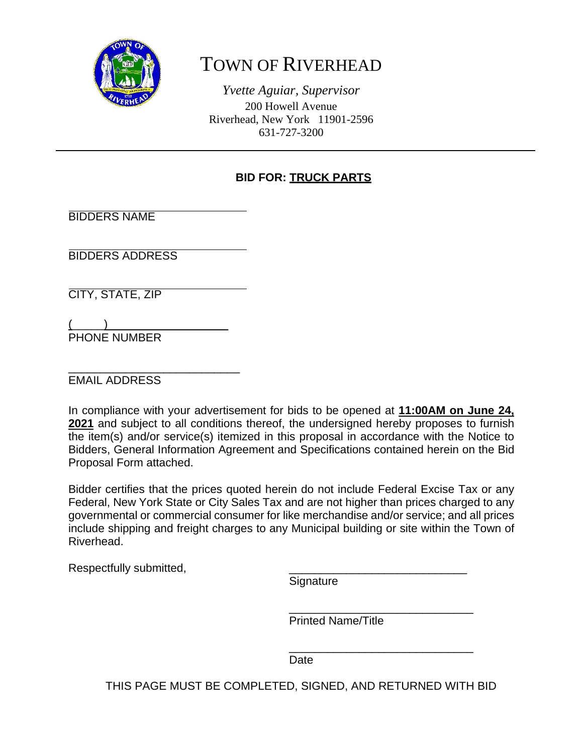

# TOWN OF RIVERHEAD

*Yvette Aguiar, Supervisor*  200 Howell Avenue Riverhead, New York 11901-2596 631-727-3200

ֺ֖֚֝֬

### **BID FOR: TRUCK PARTS**

BIDDERS NAME

BIDDERS ADDRESS

CITY, STATE, ZIP

 $\overline{a}$  (  $\overline{a}$  ) and the set of  $\overline{a}$  and  $\overline{a}$  and  $\overline{a}$  and  $\overline{a}$  and  $\overline{a}$  and  $\overline{a}$  and  $\overline{a}$  and  $\overline{a}$  and  $\overline{a}$  and  $\overline{a}$  and  $\overline{a}$  and  $\overline{a}$  and  $\overline{a}$  and  $\overline{a}$  and  $\$ PHONE NUMBER

\_\_\_\_\_\_\_\_\_\_\_\_\_\_\_\_\_\_\_\_\_\_\_\_\_\_\_ EMAIL ADDRESS

In compliance with your advertisement for bids to be opened at **11:00AM on June 24, 2021** and subject to all conditions thereof, the undersigned hereby proposes to furnish the item(s) and/or service(s) itemized in this proposal in accordance with the Notice to Bidders, General Information Agreement and Specifications contained herein on the Bid Proposal Form attached.

Bidder certifies that the prices quoted herein do not include Federal Excise Tax or any Federal, New York State or City Sales Tax and are not higher than prices charged to any governmental or commercial consumer for like merchandise and/or service; and all prices include shipping and freight charges to any Municipal building or site within the Town of Riverhead.

Respectfully submitted,

Signature

 $\frac{1}{\sqrt{2\pi}}$  ,  $\frac{1}{\sqrt{2\pi}}$  ,  $\frac{1}{\sqrt{2\pi}}$  ,  $\frac{1}{\sqrt{2\pi}}$  ,  $\frac{1}{\sqrt{2\pi}}$  ,  $\frac{1}{\sqrt{2\pi}}$  ,  $\frac{1}{\sqrt{2\pi}}$  ,  $\frac{1}{\sqrt{2\pi}}$  ,  $\frac{1}{\sqrt{2\pi}}$  ,  $\frac{1}{\sqrt{2\pi}}$  ,  $\frac{1}{\sqrt{2\pi}}$  ,  $\frac{1}{\sqrt{2\pi}}$  ,  $\frac{1}{\sqrt{2\pi}}$  , Printed Name/Title

**Date Date Date** 

 $\frac{1}{\sqrt{2\pi}}$  ,  $\frac{1}{\sqrt{2\pi}}$  ,  $\frac{1}{\sqrt{2\pi}}$  ,  $\frac{1}{\sqrt{2\pi}}$  ,  $\frac{1}{\sqrt{2\pi}}$  ,  $\frac{1}{\sqrt{2\pi}}$  ,  $\frac{1}{\sqrt{2\pi}}$  ,  $\frac{1}{\sqrt{2\pi}}$  ,  $\frac{1}{\sqrt{2\pi}}$  ,  $\frac{1}{\sqrt{2\pi}}$  ,  $\frac{1}{\sqrt{2\pi}}$  ,  $\frac{1}{\sqrt{2\pi}}$  ,  $\frac{1}{\sqrt{2\pi}}$  ,

THIS PAGE MUST BE COMPLETED, SIGNED, AND RETURNED WITH BID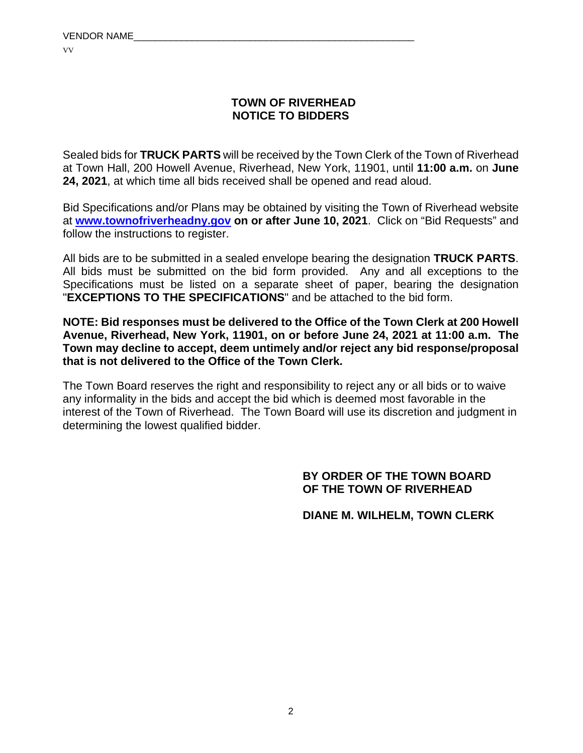#### **TOWN OF RIVERHEAD NOTICE TO BIDDERS**

Sealed bids for **TRUCK PARTS** will be received by the Town Clerk of the Town of Riverhead at Town Hall, 200 Howell Avenue, Riverhead, New York, 11901, until **11:00 a.m.** on **June 24, 2021**, at which time all bids received shall be opened and read aloud.

Bid Specifications and/or Plans may be obtained by visiting the Town of Riverhead website at **www.townofriverheadny.gov on or after June 10, 2021**. Click on "Bid Requests" and follow the instructions to register.

All bids are to be submitted in a sealed envelope bearing the designation **TRUCK PARTS**. All bids must be submitted on the bid form provided. Any and all exceptions to the Specifications must be listed on a separate sheet of paper, bearing the designation "**EXCEPTIONS TO THE SPECIFICATIONS**" and be attached to the bid form.

**NOTE: Bid responses must be delivered to the Office of the Town Clerk at 200 Howell Avenue, Riverhead, New York, 11901, on or before June 24, 2021 at 11:00 a.m. The Town may decline to accept, deem untimely and/or reject any bid response/proposal that is not delivered to the Office of the Town Clerk.**

The Town Board reserves the right and responsibility to reject any or all bids or to waive any informality in the bids and accept the bid which is deemed most favorable in the interest of the Town of Riverhead. The Town Board will use its discretion and judgment in determining the lowest qualified bidder.

#### **BY ORDER OF THE TOWN BOARD OF THE TOWN OF RIVERHEAD**

 **DIANE M. WILHELM, TOWN CLERK**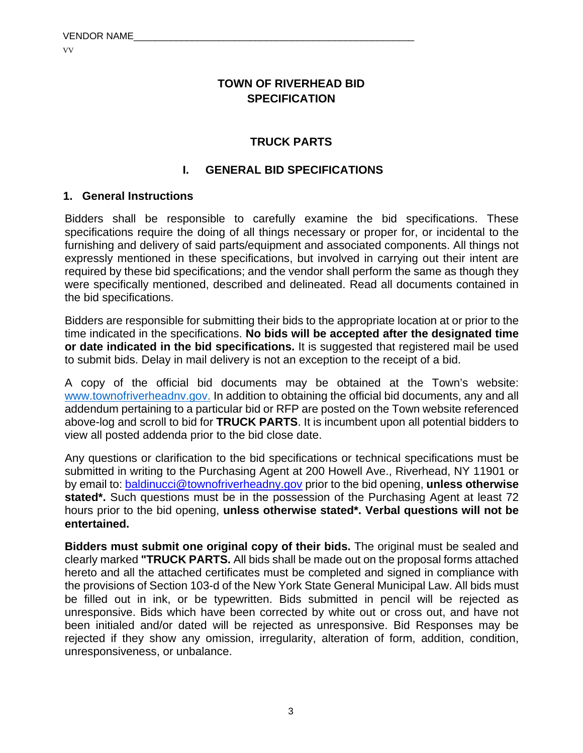#### **TOWN OF RIVERHEAD BID SPECIFICATION**

#### **TRUCK PARTS**

#### **I. GENERAL BID SPECIFICATIONS**

#### **1. General Instructions**

Bidders shall be responsible to carefully examine the bid specifications. These specifications require the doing of all things necessary or proper for, or incidental to the furnishing and delivery of said parts/equipment and associated components. All things not expressly mentioned in these specifications, but involved in carrying out their intent are required by these bid specifications; and the vendor shall perform the same as though they were specifically mentioned, described and delineated. Read all documents contained in the bid specifications.

Bidders are responsible for submitting their bids to the appropriate location at or prior to the time indicated in the specifications. **No bids will be accepted after the designated time or date indicated in the bid specifications.** It is suggested that registered mail be used to submit bids. Delay in mail delivery is not an exception to the receipt of a bid.

A copy of the official bid documents may be obtained at the Town's website: www.townofriverheadnv.gov. In addition to obtaining the official bid documents, any and all addendum pertaining to a particular bid or RFP are posted on the Town website referenced above-log and scroll to bid for **TRUCK PARTS**. It is incumbent upon all potential bidders to view all posted addenda prior to the bid close date.

Any questions or clarification to the bid specifications or technical specifications must be submitted in writing to the Purchasing Agent at 200 Howell Ave., Riverhead, NY 11901 or by email to: baldinucci@townofriverheadny.gov prior to the bid opening, **unless otherwise**  stated<sup>\*</sup>. Such questions must be in the possession of the Purchasing Agent at least 72 hours prior to the bid opening, **unless otherwise stated\*. Verbal questions will not be entertained.** 

**Bidders must submit one original copy of their bids.** The original must be sealed and clearly marked **"TRUCK PARTS.** All bids shall be made out on the proposal forms attached hereto and all the attached certificates must be completed and signed in compliance with the provisions of Section 103-d of the New York State General Municipal Law. All bids must be filled out in ink, or be typewritten. Bids submitted in pencil will be rejected as unresponsive. Bids which have been corrected by white out or cross out, and have not been initialed and/or dated will be rejected as unresponsive. Bid Responses may be rejected if they show any omission, irregularity, alteration of form, addition, condition, unresponsiveness, or unbalance.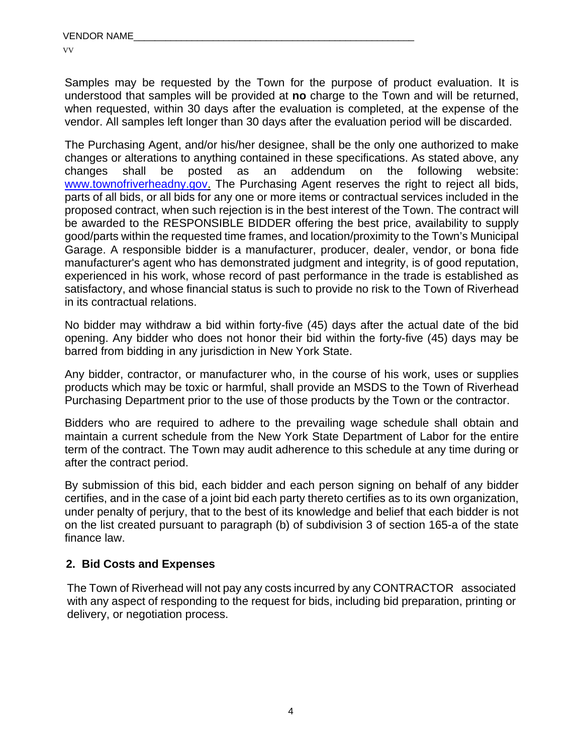Samples may be requested by the Town for the purpose of product evaluation. It is understood that samples will be provided at **no** charge to the Town and will be returned, when requested, within 30 days after the evaluation is completed, at the expense of the vendor. All samples left longer than 30 days after the evaluation period will be discarded.

The Purchasing Agent, and/or his/her designee, shall be the only one authorized to make changes or alterations to anything contained in these specifications. As stated above, any changes shall be posted as an addendum on the following website: www.townofriverheadny.gov. The Purchasing Agent reserves the right to reject all bids, parts of all bids, or all bids for any one or more items or contractual services included in the proposed contract, when such rejection is in the best interest of the Town. The contract will be awarded to the RESPONSIBLE BIDDER offering the best price, availability to supply good/parts within the requested time frames, and location/proximity to the Town's Municipal Garage. A responsible bidder is a manufacturer, producer, dealer, vendor, or bona fide manufacturer's agent who has demonstrated judgment and integrity, is of good reputation, experienced in his work, whose record of past performance in the trade is established as satisfactory, and whose financial status is such to provide no risk to the Town of Riverhead in its contractual relations.

No bidder may withdraw a bid within forty-five (45) days after the actual date of the bid opening. Any bidder who does not honor their bid within the forty-five (45) days may be barred from bidding in any jurisdiction in New York State.

Any bidder, contractor, or manufacturer who, in the course of his work, uses or supplies products which may be toxic or harmful, shall provide an MSDS to the Town of Riverhead Purchasing Department prior to the use of those products by the Town or the contractor.

Bidders who are required to adhere to the prevailing wage schedule shall obtain and maintain a current schedule from the New York State Department of Labor for the entire term of the contract. The Town may audit adherence to this schedule at any time during or after the contract period.

By submission of this bid, each bidder and each person signing on behalf of any bidder certifies, and in the case of a joint bid each party thereto certifies as to its own organization, under penalty of perjury, that to the best of its knowledge and belief that each bidder is not on the list created pursuant to paragraph (b) of subdivision 3 of section 165-a of the state finance law.

#### **2. Bid Costs and Expenses**

 The Town of Riverhead will not pay any costs incurred by any CONTRACTOR associated with any aspect of responding to the request for bids, including bid preparation, printing or delivery, or negotiation process.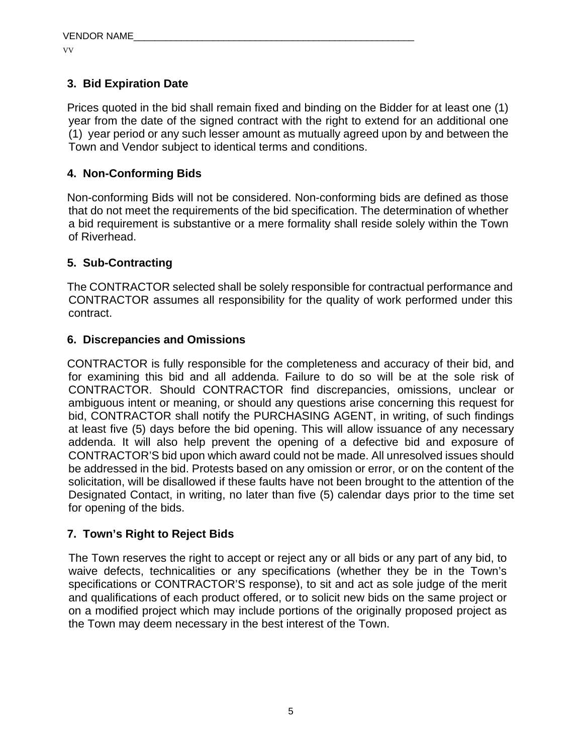### **3. Bid Expiration Date**

Prices quoted in the bid shall remain fixed and binding on the Bidder for at least one (1) year from the date of the signed contract with the right to extend for an additional one (1) year period or any such lesser amount as mutually agreed upon by and between the Town and Vendor subject to identical terms and conditions.

#### **4. Non-Conforming Bids**

Non-conforming Bids will not be considered. Non-conforming bids are defined as those that do not meet the requirements of the bid specification. The determination of whether a bid requirement is substantive or a mere formality shall reside solely within the Town of Riverhead.

#### **5. Sub-Contracting**

The CONTRACTOR selected shall be solely responsible for contractual performance and CONTRACTOR assumes all responsibility for the quality of work performed under this contract.

#### **6. Discrepancies and Omissions**

CONTRACTOR is fully responsible for the completeness and accuracy of their bid, and for examining this bid and all addenda. Failure to do so will be at the sole risk of CONTRACTOR. Should CONTRACTOR find discrepancies, omissions, unclear or ambiguous intent or meaning, or should any questions arise concerning this request for bid, CONTRACTOR shall notify the PURCHASING AGENT, in writing, of such findings at least five (5) days before the bid opening. This will allow issuance of any necessary addenda. It will also help prevent the opening of a defective bid and exposure of CONTRACTOR'S bid upon which award could not be made. All unresolved issues should be addressed in the bid. Protests based on any omission or error, or on the content of the solicitation, will be disallowed if these faults have not been brought to the attention of the Designated Contact, in writing, no later than five (5) calendar days prior to the time set for opening of the bids.

#### **7. Town's Right to Reject Bids**

The Town reserves the right to accept or reject any or all bids or any part of any bid, to waive defects, technicalities or any specifications (whether they be in the Town's specifications or CONTRACTOR'S response), to sit and act as sole judge of the merit and qualifications of each product offered, or to solicit new bids on the same project or on a modified project which may include portions of the originally proposed project as the Town may deem necessary in the best interest of the Town.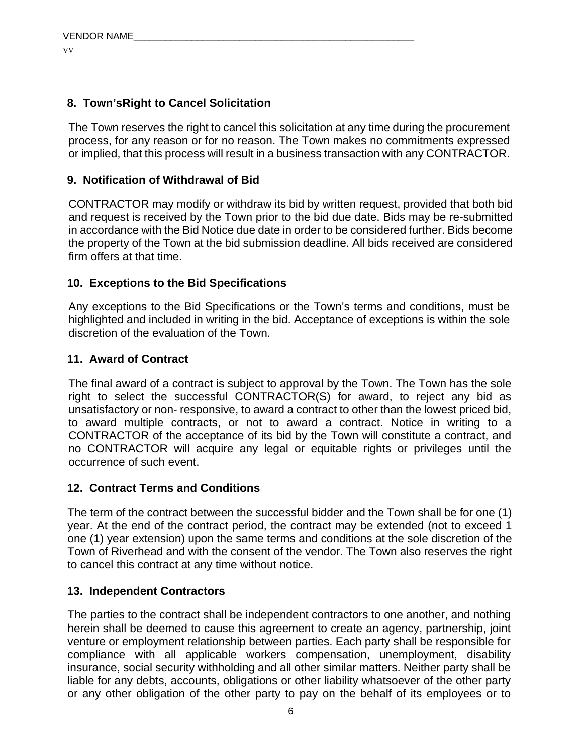#### **8. Town'sRight to Cancel Solicitation**

The Town reserves the right to cancel this solicitation at any time during the procurement process, for any reason or for no reason. The Town makes no commitments expressed or implied, that this process will result in a business transaction with any CONTRACTOR.

### **9. Notification of Withdrawal of Bid**

CONTRACTOR may modify or withdraw its bid by written request, provided that both bid and request is received by the Town prior to the bid due date. Bids may be re-submitted in accordance with the Bid Notice due date in order to be considered further. Bids become the property of the Town at the bid submission deadline. All bids received are considered firm offers at that time.

#### **10. Exceptions to the Bid Specifications**

Any exceptions to the Bid Specifications or the Town's terms and conditions, must be highlighted and included in writing in the bid. Acceptance of exceptions is within the sole discretion of the evaluation of the Town.

#### **11. Award of Contract**

The final award of a contract is subject to approval by the Town. The Town has the sole right to select the successful CONTRACTOR(S) for award, to reject any bid as unsatisfactory or non- responsive, to award a contract to other than the lowest priced bid, to award multiple contracts, or not to award a contract. Notice in writing to a CONTRACTOR of the acceptance of its bid by the Town will constitute a contract, and no CONTRACTOR will acquire any legal or equitable rights or privileges until the occurrence of such event.

#### **12. Contract Terms and Conditions**

The term of the contract between the successful bidder and the Town shall be for one (1) year. At the end of the contract period, the contract may be extended (not to exceed 1 one (1) year extension) upon the same terms and conditions at the sole discretion of the Town of Riverhead and with the consent of the vendor. The Town also reserves the right to cancel this contract at any time without notice.

#### **13. Independent Contractors**

The parties to the contract shall be independent contractors to one another, and nothing herein shall be deemed to cause this agreement to create an agency, partnership, joint venture or employment relationship between parties. Each party shall be responsible for compliance with all applicable workers compensation, unemployment, disability insurance, social security withholding and all other similar matters. Neither party shall be liable for any debts, accounts, obligations or other liability whatsoever of the other party or any other obligation of the other party to pay on the behalf of its employees or to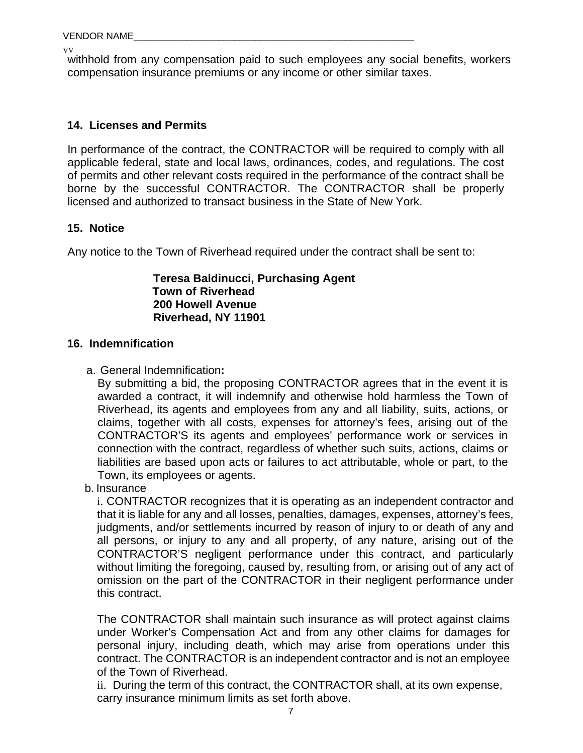VV withhold from any compensation paid to such employees any social benefits, workers compensation insurance premiums or any income or other similar taxes.

#### **14. Licenses and Permits**

In performance of the contract, the CONTRACTOR will be required to comply with all applicable federal, state and local laws, ordinances, codes, and regulations. The cost of permits and other relevant costs required in the performance of the contract shall be borne by the successful CONTRACTOR. The CONTRACTOR shall be properly licensed and authorized to transact business in the State of New York.

#### **15. Notice**

Any notice to the Town of Riverhead required under the contract shall be sent to:

#### **Teresa Baldinucci, Purchasing Agent Town of Riverhead 200 Howell Avenue Riverhead, NY 11901**

#### **16. Indemnification**

a. General Indemnification**:**

By submitting a bid, the proposing CONTRACTOR agrees that in the event it is awarded a contract, it will indemnify and otherwise hold harmless the Town of Riverhead, its agents and employees from any and all liability, suits, actions, or claims, together with all costs, expenses for attorney's fees, arising out of the CONTRACTOR'S its agents and employees' performance work or services in connection with the contract, regardless of whether such suits, actions, claims or liabilities are based upon acts or failures to act attributable, whole or part, to the Town, its employees or agents.

b. Insurance

i. CONTRACTOR recognizes that it is operating as an independent contractor and that it is liable for any and all losses, penalties, damages, expenses, attorney's fees, judgments, and/or settlements incurred by reason of injury to or death of any and all persons, or injury to any and all property, of any nature, arising out of the CONTRACTOR'S negligent performance under this contract, and particularly without limiting the foregoing, caused by, resulting from, or arising out of any act of omission on the part of the CONTRACTOR in their negligent performance under this contract.

The CONTRACTOR shall maintain such insurance as will protect against claims under Worker's Compensation Act and from any other claims for damages for personal injury, including death, which may arise from operations under this contract. The CONTRACTOR is an independent contractor and is not an employee of the Town of Riverhead.

ii. During the term of this contract, the CONTRACTOR shall, at its own expense, carry insurance minimum limits as set forth above.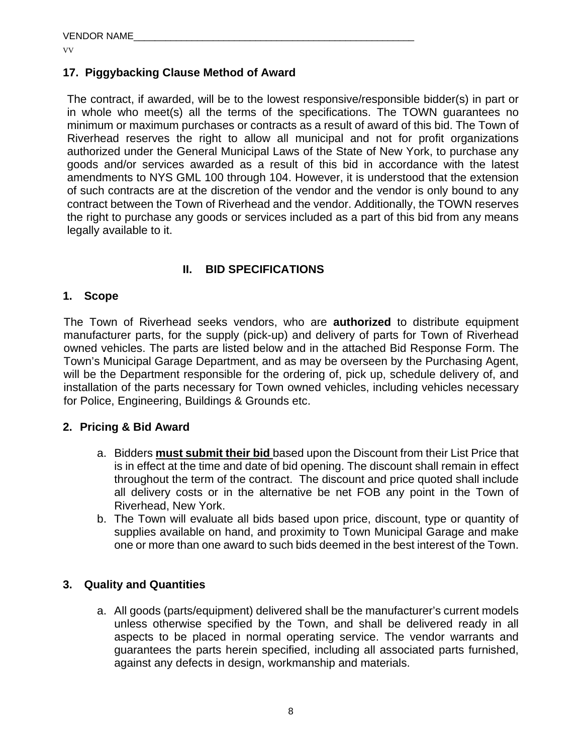#### **17. Piggybacking Clause Method of Award**

The contract, if awarded, will be to the lowest responsive/responsible bidder(s) in part or in whole who meet(s) all the terms of the specifications. The TOWN guarantees no minimum or maximum purchases or contracts as a result of award of this bid. The Town of Riverhead reserves the right to allow all municipal and not for profit organizations authorized under the General Municipal Laws of the State of New York, to purchase any goods and/or services awarded as a result of this bid in accordance with the latest amendments to NYS GML 100 through 104. However, it is understood that the extension of such contracts are at the discretion of the vendor and the vendor is only bound to any contract between the Town of Riverhead and the vendor. Additionally, the TOWN reserves the right to purchase any goods or services included as a part of this bid from any means legally available to it.

#### **II. BID SPECIFICATIONS**

#### **1. Scope**

The Town of Riverhead seeks vendors, who are **authorized** to distribute equipment manufacturer parts, for the supply (pick-up) and delivery of parts for Town of Riverhead owned vehicles. The parts are listed below and in the attached Bid Response Form. The Town's Municipal Garage Department, and as may be overseen by the Purchasing Agent, will be the Department responsible for the ordering of, pick up, schedule delivery of, and installation of the parts necessary for Town owned vehicles, including vehicles necessary for Police, Engineering, Buildings & Grounds etc.

#### **2. Pricing & Bid Award**

- a. Bidders **must submit their bid** based upon the Discount from their List Price that is in effect at the time and date of bid opening. The discount shall remain in effect throughout the term of the contract. The discount and price quoted shall include all delivery costs or in the alternative be net FOB any point in the Town of Riverhead, New York.
- b. The Town will evaluate all bids based upon price, discount, type or quantity of supplies available on hand, and proximity to Town Municipal Garage and make one or more than one award to such bids deemed in the best interest of the Town.

#### **3. Quality and Quantities**

a. All goods (parts/equipment) delivered shall be the manufacturer's current models unless otherwise specified by the Town, and shall be delivered ready in all aspects to be placed in normal operating service. The vendor warrants and guarantees the parts herein specified, including all associated parts furnished, against any defects in design, workmanship and materials.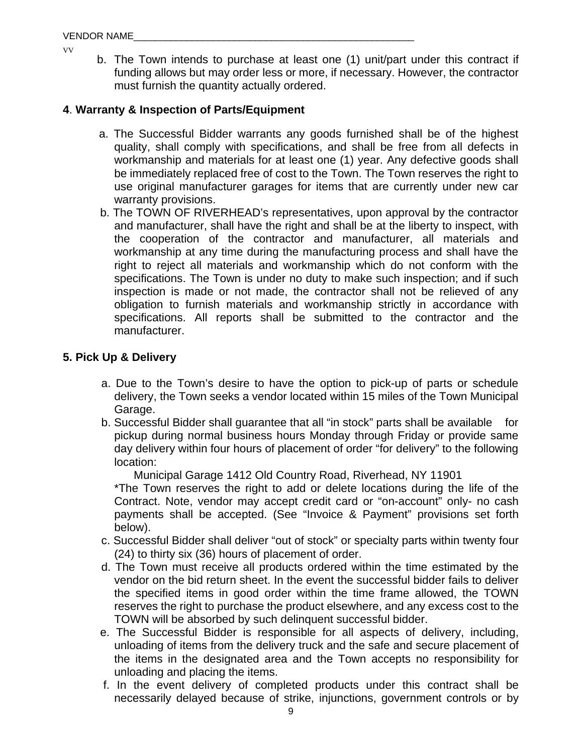b. The Town intends to purchase at least one (1) unit/part under this contract if funding allows but may order less or more, if necessary. However, the contractor must furnish the quantity actually ordered.

#### **4**. **Warranty & Inspection of Parts/Equipment**

- a. The Successful Bidder warrants any goods furnished shall be of the highest quality, shall comply with specifications, and shall be free from all defects in workmanship and materials for at least one (1) year. Any defective goods shall be immediately replaced free of cost to the Town. The Town reserves the right to use original manufacturer garages for items that are currently under new car warranty provisions.
- b. The TOWN OF RIVERHEAD's representatives, upon approval by the contractor and manufacturer, shall have the right and shall be at the liberty to inspect, with the cooperation of the contractor and manufacturer, all materials and workmanship at any time during the manufacturing process and shall have the right to reject all materials and workmanship which do not conform with the specifications. The Town is under no duty to make such inspection; and if such inspection is made or not made, the contractor shall not be relieved of any obligation to furnish materials and workmanship strictly in accordance with specifications. All reports shall be submitted to the contractor and the manufacturer.

#### **5. Pick Up & Delivery**

- a. Due to the Town's desire to have the option to pick-up of parts or schedule delivery, the Town seeks a vendor located within 15 miles of the Town Municipal Garage.
- b. Successful Bidder shall guarantee that all "in stock" parts shall be available for pickup during normal business hours Monday through Friday or provide same day delivery within four hours of placement of order "for delivery" to the following location:

Municipal Garage 1412 Old Country Road, Riverhead, NY 11901

\*The Town reserves the right to add or delete locations during the life of the Contract. Note, vendor may accept credit card or "on-account" only- no cash payments shall be accepted. (See "Invoice & Payment" provisions set forth below).

- c. Successful Bidder shall deliver "out of stock" or specialty parts within twenty four (24) to thirty six (36) hours of placement of order.
- d. The Town must receive all products ordered within the time estimated by the vendor on the bid return sheet. In the event the successful bidder fails to deliver the specified items in good order within the time frame allowed, the TOWN reserves the right to purchase the product elsewhere, and any excess cost to the TOWN will be absorbed by such delinquent successful bidder.
- e. The Successful Bidder is responsible for all aspects of delivery, including, unloading of items from the delivery truck and the safe and secure placement of the items in the designated area and the Town accepts no responsibility for unloading and placing the items.
- f. In the event delivery of completed products under this contract shall be necessarily delayed because of strike, injunctions, government controls or by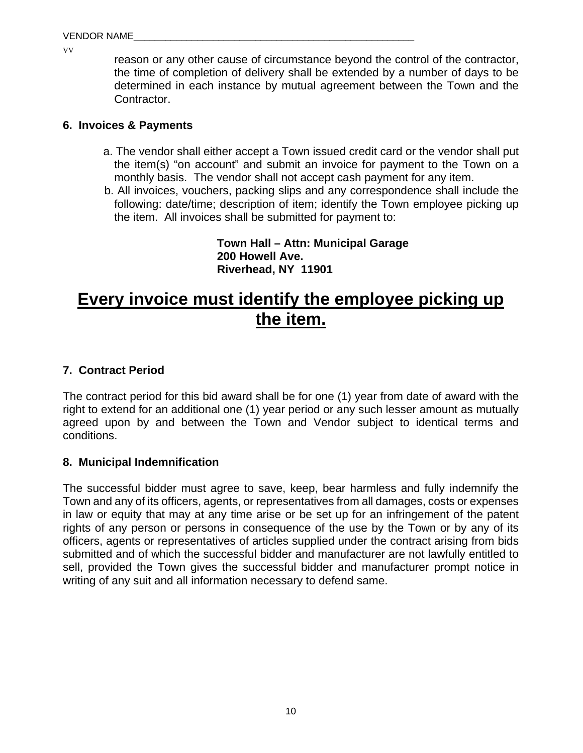reason or any other cause of circumstance beyond the control of the contractor, the time of completion of delivery shall be extended by a number of days to be determined in each instance by mutual agreement between the Town and the Contractor.

#### **6. Invoices & Payments**

- a. The vendor shall either accept a Town issued credit card or the vendor shall put the item(s) "on account" and submit an invoice for payment to the Town on a monthly basis. The vendor shall not accept cash payment for any item.
- b. All invoices, vouchers, packing slips and any correspondence shall include the following: date/time; description of item; identify the Town employee picking up the item. All invoices shall be submitted for payment to:

**Town Hall – Attn: Municipal Garage 200 Howell Ave. Riverhead, NY 11901** 

# **Every invoice must identify the employee picking up the item.**

#### **7. Contract Period**

The contract period for this bid award shall be for one (1) year from date of award with the right to extend for an additional one (1) year period or any such lesser amount as mutually agreed upon by and between the Town and Vendor subject to identical terms and conditions.

#### **8. Municipal Indemnification**

The successful bidder must agree to save, keep, bear harmless and fully indemnify the Town and any of its officers, agents, or representatives from all damages, costs or expenses in law or equity that may at any time arise or be set up for an infringement of the patent rights of any person or persons in consequence of the use by the Town or by any of its officers, agents or representatives of articles supplied under the contract arising from bids submitted and of which the successful bidder and manufacturer are not lawfully entitled to sell, provided the Town gives the successful bidder and manufacturer prompt notice in writing of any suit and all information necessary to defend same.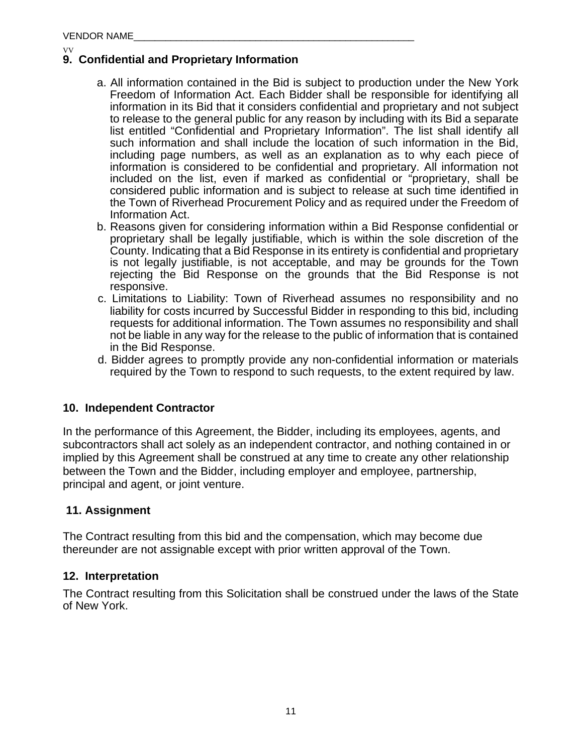#### VV **9. Confidential and Proprietary Information**

- a. All information contained in the Bid is subject to production under the New York Freedom of Information Act. Each Bidder shall be responsible for identifying all information in its Bid that it considers confidential and proprietary and not subject to release to the general public for any reason by including with its Bid a separate list entitled "Confidential and Proprietary Information". The list shall identify all such information and shall include the location of such information in the Bid, including page numbers, as well as an explanation as to why each piece of information is considered to be confidential and proprietary. All information not included on the list, even if marked as confidential or "proprietary, shall be considered public information and is subject to release at such time identified in the Town of Riverhead Procurement Policy and as required under the Freedom of Information Act.
- b. Reasons given for considering information within a Bid Response confidential or proprietary shall be legally justifiable, which is within the sole discretion of the County. Indicating that a Bid Response in its entirety is confidential and proprietary is not legally justifiable, is not acceptable, and may be grounds for the Town rejecting the Bid Response on the grounds that the Bid Response is not responsive.
- c. Limitations to Liability: Town of Riverhead assumes no responsibility and no liability for costs incurred by Successful Bidder in responding to this bid, including requests for additional information. The Town assumes no responsibility and shall not be liable in any way for the release to the public of information that is contained in the Bid Response.
- d. Bidder agrees to promptly provide any non-confidential information or materials required by the Town to respond to such requests, to the extent required by law.

#### **10. Independent Contractor**

In the performance of this Agreement, the Bidder, including its employees, agents, and subcontractors shall act solely as an independent contractor, and nothing contained in or implied by this Agreement shall be construed at any time to create any other relationship between the Town and the Bidder, including employer and employee, partnership, principal and agent, or joint venture.

#### **11. Assignment**

The Contract resulting from this bid and the compensation, which may become due thereunder are not assignable except with prior written approval of the Town.

#### **12. Interpretation**

The Contract resulting from this Solicitation shall be construed under the laws of the State of New York.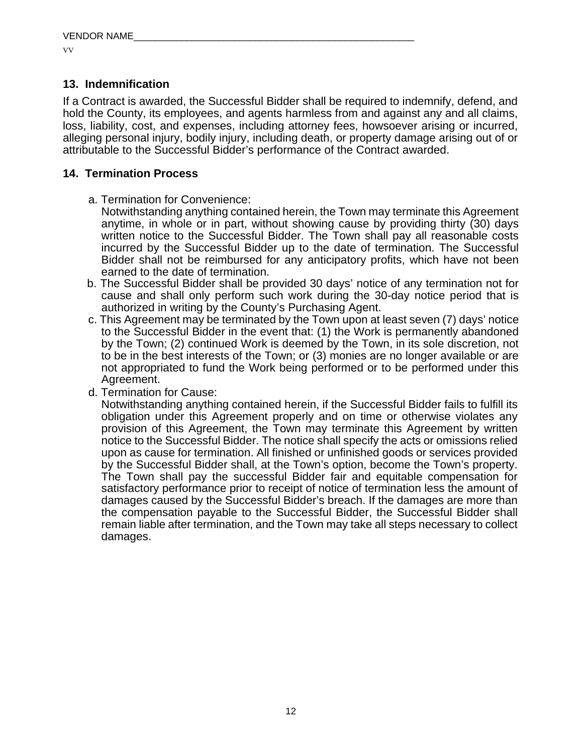#### **13. Indemnification**

If a Contract is awarded, the Successful Bidder shall be required to indemnify, defend, and hold the County, its employees, and agents harmless from and against any and all claims, loss, liability, cost, and expenses, including attorney fees, howsoever arising or incurred, alleging personal injury, bodily injury, including death, or property damage arising out of or attributable to the Successful Bidder's performance of the Contract awarded.

#### **14. Termination Process**

- a. Termination for Convenience:
	- Notwithstanding anything contained herein, the Town may terminate this Agreement anytime, in whole or in part, without showing cause by providing thirty (30) days written notice to the Successful Bidder. The Town shall pay all reasonable costs incurred by the Successful Bidder up to the date of termination. The Successful Bidder shall not be reimbursed for any anticipatory profits, which have not been earned to the date of termination.
- b. The Successful Bidder shall be provided 30 days' notice of any termination not for cause and shall only perform such work during the 30-day notice period that is authorized in writing by the County's Purchasing Agent.
- c. This Agreement may be terminated by the Town upon at least seven (7) days' notice to the Successful Bidder in the event that: (1) the Work is permanently abandoned by the Town; (2) continued Work is deemed by the Town, in its sole discretion, not to be in the best interests of the Town; or (3) monies are no longer available or are not appropriated to fund the Work being performed or to be performed under this Agreement.
- d. Termination for Cause:

Notwithstanding anything contained herein, if the Successful Bidder fails to fulfill its obligation under this Agreement properly and on time or otherwise violates any provision of this Agreement, the Town may terminate this Agreement by written notice to the Successful Bidder. The notice shall specify the acts or omissions relied upon as cause for termination. All finished or unfinished goods or services provided by the Successful Bidder shall, at the Town's option, become the Town's property. The Town shall pay the successful Bidder fair and equitable compensation for satisfactory performance prior to receipt of notice of termination less the amount of damages caused by the Successful Bidder's breach. If the damages are more than the compensation payable to the Successful Bidder, the Successful Bidder shall remain liable after termination, and the Town may take all steps necessary to collect damages.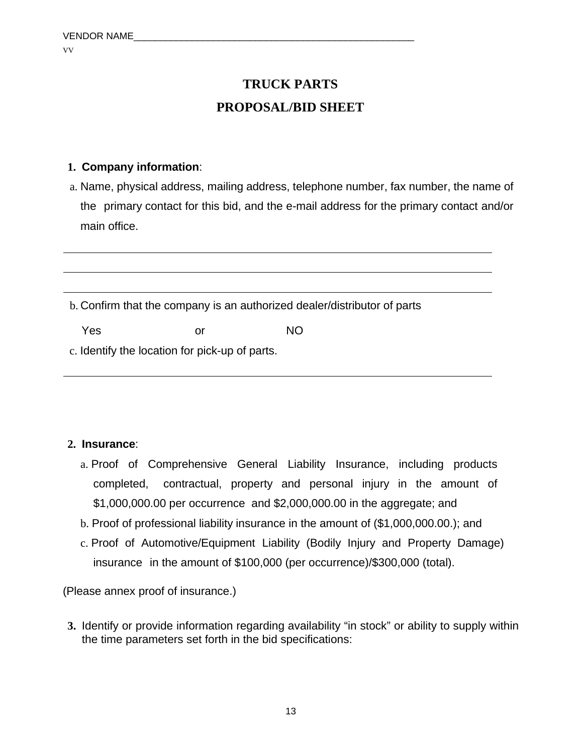## **TRUCK PARTS PROPOSAL/BID SHEET**

#### **1. Company information**:

a. Name, physical address, mailing address, telephone number, fax number, the name of the primary contact for this bid, and the e-mail address for the primary contact and/or main office.

b. Confirm that the company is an authorized dealer/distributor of parts

Yes or NO

c. Identify the location for pick-up of parts.

#### **2. Insurance**:

- a. Proof of Comprehensive General Liability Insurance, including products completed, contractual, property and personal injury in the amount of \$1,000,000.00 per occurrence and \$2,000,000.00 in the aggregate; and
- b. Proof of professional liability insurance in the amount of (\$1,000,000.00.); and
- c. Proof of Automotive/Equipment Liability (Bodily Injury and Property Damage) insurance in the amount of \$100,000 (per occurrence)/\$300,000 (total).

(Please annex proof of insurance.)

**3.** Identify or provide information regarding availability "in stock" or ability to supply within the time parameters set forth in the bid specifications: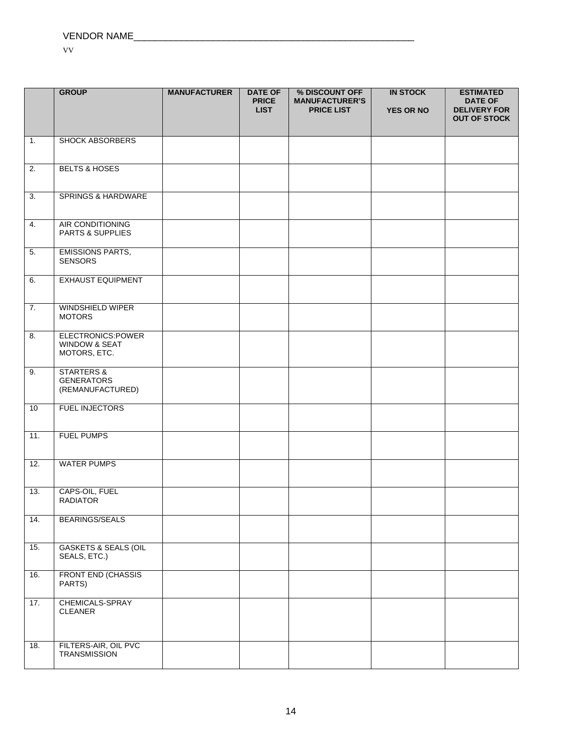|                   | <b>GROUP</b>                                                   | <b>MANUFACTURER</b> | <b>DATE OF</b><br><b>PRICE</b> | % DISCOUNT OFF<br><b>MANUFACTURER'S</b> | <b>IN STOCK</b>  | <b>ESTIMATED</b><br><b>DATE OF</b>         |
|-------------------|----------------------------------------------------------------|---------------------|--------------------------------|-----------------------------------------|------------------|--------------------------------------------|
|                   |                                                                |                     | <b>LIST</b>                    | <b>PRICE LIST</b>                       | <b>YES OR NO</b> | <b>DELIVERY FOR</b><br><b>OUT OF STOCK</b> |
|                   |                                                                |                     |                                |                                         |                  |                                            |
| $\overline{1}$ .  | <b>SHOCK ABSORBERS</b>                                         |                     |                                |                                         |                  |                                            |
| $\overline{2}$ .  | <b>BELTS &amp; HOSES</b>                                       |                     |                                |                                         |                  |                                            |
| $\overline{3}$ .  | SPRINGS & HARDWARE                                             |                     |                                |                                         |                  |                                            |
| $\overline{4}$ .  | AIR CONDITIONING<br>PARTS & SUPPLIES                           |                     |                                |                                         |                  |                                            |
| 5.                | <b>EMISSIONS PARTS,</b><br><b>SENSORS</b>                      |                     |                                |                                         |                  |                                            |
| 6.                | <b>EXHAUST EQUIPMENT</b>                                       |                     |                                |                                         |                  |                                            |
| $\overline{7}$ .  | WINDSHIELD WIPER<br><b>MOTORS</b>                              |                     |                                |                                         |                  |                                            |
| 8.                | ELECTRONICS:POWER<br>WINDOW & SEAT<br>MOTORS, ETC.             |                     |                                |                                         |                  |                                            |
| 9.                | <b>STARTERS &amp;</b><br><b>GENERATORS</b><br>(REMANUFACTURED) |                     |                                |                                         |                  |                                            |
| 10                | <b>FUEL INJECTORS</b>                                          |                     |                                |                                         |                  |                                            |
| $\overline{11}$ . | <b>FUEL PUMPS</b>                                              |                     |                                |                                         |                  |                                            |
| 12.               | <b>WATER PUMPS</b>                                             |                     |                                |                                         |                  |                                            |
| 13.               | CAPS-OIL, FUEL<br><b>RADIATOR</b>                              |                     |                                |                                         |                  |                                            |
| 14.               | <b>BEARINGS/SEALS</b>                                          |                     |                                |                                         |                  |                                            |
| 15.               | <b>GASKETS &amp; SEALS (OIL</b><br>SEALS, ETC.)                |                     |                                |                                         |                  |                                            |
| 16.               | <b>FRONT END (CHASSIS</b><br>PARTS)                            |                     |                                |                                         |                  |                                            |
| 17.               | CHEMICALS-SPRAY<br>CLEANER                                     |                     |                                |                                         |                  |                                            |
| 18.               | FILTERS-AIR, OIL PVC<br><b>TRANSMISSION</b>                    |                     |                                |                                         |                  |                                            |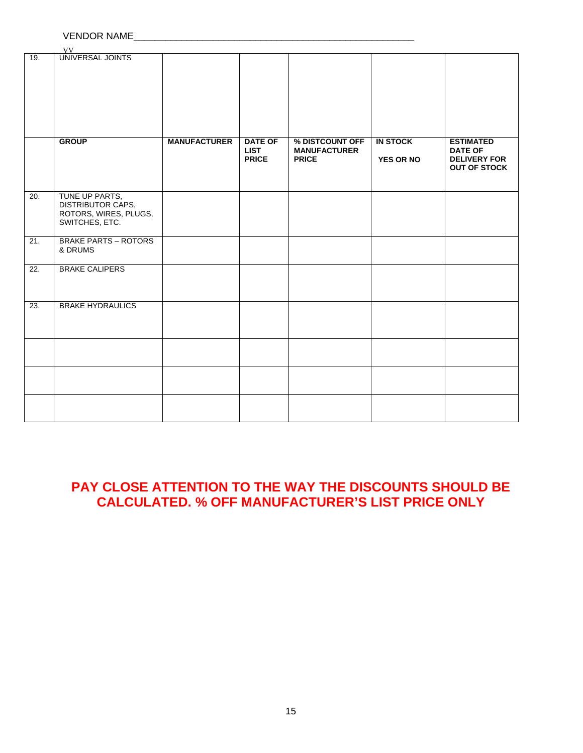#### VENDOR NAME\_\_\_\_\_\_\_\_\_\_\_\_\_\_\_\_\_\_\_\_\_\_\_\_\_\_\_\_\_\_\_\_\_\_\_\_\_\_\_\_\_\_\_\_\_\_\_\_\_\_\_\_\_

|                   | VV                                                                             |                     |                                               |                                                        |                              |                                                                                  |
|-------------------|--------------------------------------------------------------------------------|---------------------|-----------------------------------------------|--------------------------------------------------------|------------------------------|----------------------------------------------------------------------------------|
| 19.               | UNIVERSAL JOINTS                                                               |                     |                                               |                                                        |                              |                                                                                  |
|                   |                                                                                |                     |                                               |                                                        |                              |                                                                                  |
|                   |                                                                                |                     |                                               |                                                        |                              |                                                                                  |
|                   | <b>GROUP</b>                                                                   | <b>MANUFACTURER</b> | <b>DATE OF</b><br><b>LIST</b><br><b>PRICE</b> | % DISTCOUNT OFF<br><b>MANUFACTURER</b><br><b>PRICE</b> | <b>IN STOCK</b><br>YES OR NO | <b>ESTIMATED</b><br><b>DATE OF</b><br><b>DELIVERY FOR</b><br><b>OUT OF STOCK</b> |
| 20.               | TUNE UP PARTS,<br>DISTRIBUTOR CAPS,<br>ROTORS, WIRES, PLUGS,<br>SWITCHES, ETC. |                     |                                               |                                                        |                              |                                                                                  |
| 21.               | <b>BRAKE PARTS - ROTORS</b><br>& DRUMS                                         |                     |                                               |                                                        |                              |                                                                                  |
| $\overline{22}$ . | <b>BRAKE CALIPERS</b>                                                          |                     |                                               |                                                        |                              |                                                                                  |
| 23.               | <b>BRAKE HYDRAULICS</b>                                                        |                     |                                               |                                                        |                              |                                                                                  |
|                   |                                                                                |                     |                                               |                                                        |                              |                                                                                  |
|                   |                                                                                |                     |                                               |                                                        |                              |                                                                                  |
|                   |                                                                                |                     |                                               |                                                        |                              |                                                                                  |

### **PAY CLOSE ATTENTION TO THE WAY THE DISCOUNTS SHOULD BE CALCULATED. % OFF MANUFACTURER'S LIST PRICE ONLY**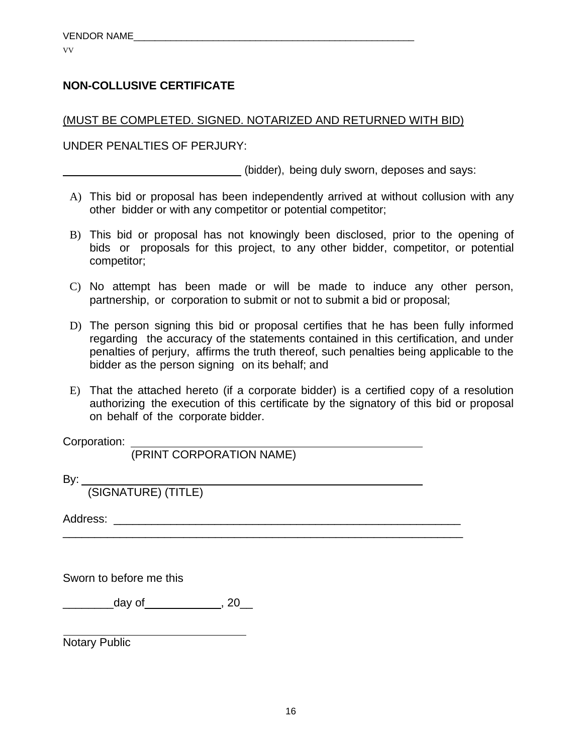#### **NON-COLLUSIVE CERTIFICATE**

#### (MUST BE COMPLETED. SIGNED. NOTARIZED AND RETURNED WITH BID)

UNDER PENALTIES OF PERJURY:

(bidder), being duly sworn, deposes and says:

- A) This bid or proposal has been independently arrived at without collusion with any other bidder or with any competitor or potential competitor;
- B) This bid or proposal has not knowingly been disclosed, prior to the opening of bids or proposals for this project, to any other bidder, competitor, or potential competitor;
- C) No attempt has been made or will be made to induce any other person, partnership, or corporation to submit or not to submit a bid or proposal;
- D) The person signing this bid or proposal certifies that he has been fully informed regarding the accuracy of the statements contained in this certification, and under penalties of perjury, affirms the truth thereof, such penalties being applicable to the bidder as the person signing on its behalf; and
- E) That the attached hereto (if a corporate bidder) is a certified copy of a resolution authorizing the execution of this certificate by the signatory of this bid or proposal on behalf of the corporate bidder.

\_\_\_\_\_\_\_\_\_\_\_\_\_\_\_\_\_\_\_\_\_\_\_\_\_\_\_\_\_\_\_\_\_\_\_\_\_\_\_\_\_\_\_\_\_\_\_\_\_\_\_\_\_\_\_\_\_\_\_\_\_\_\_

Corporation:

(PRINT CORPORATION NAME)

By:

(SIGNATURE) (TITLE)

Address:

Sworn to before me this

\_\_\_\_\_\_\_\_day of\_\_\_\_\_\_\_\_\_\_\_\_, 20\_\_

Notary Public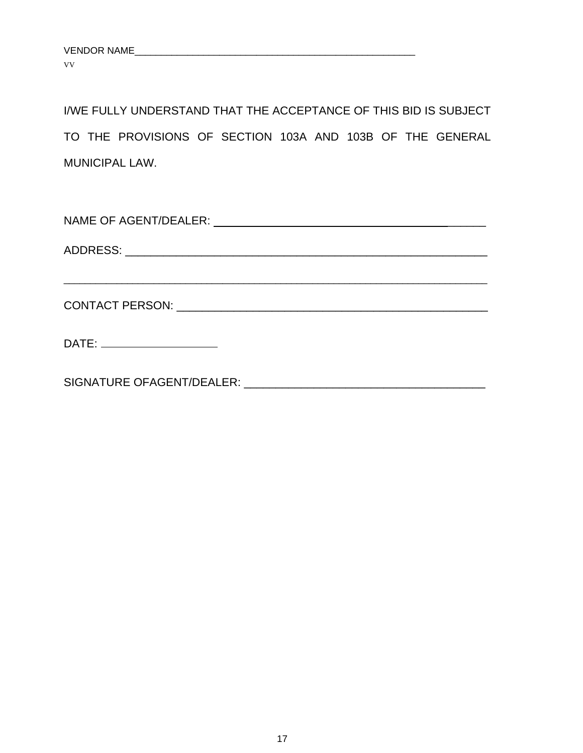I/WE FULLY UNDERSTAND THAT THE ACCEPTANCE OF THIS BID IS SUBJECT TO THE PROVISIONS OF SECTION 103A AND 103B OF THE GENERAL MUNICIPAL LAW.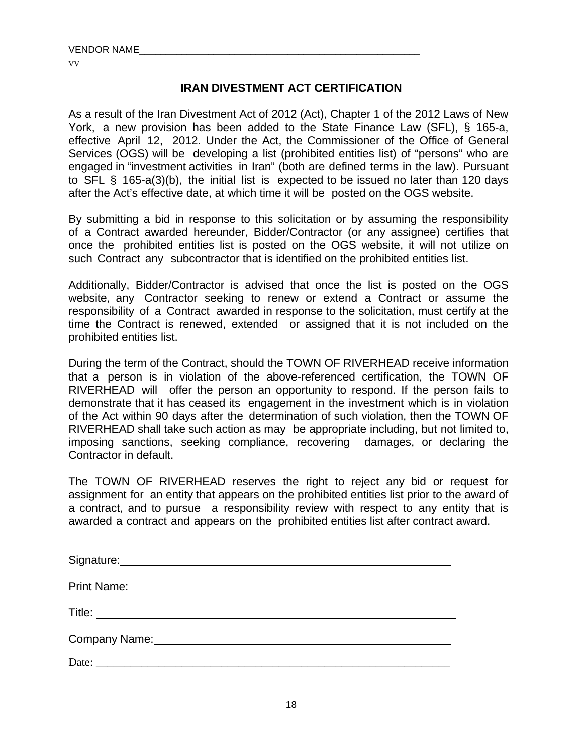#### **IRAN DIVESTMENT ACT CERTIFICATION**

As a result of the Iran Divestment Act of 2012 (Act), Chapter 1 of the 2012 Laws of New York, a new provision has been added to the State Finance Law (SFL), § 165-a, effective April 12, 2012. Under the Act, the Commissioner of the Office of General Services (OGS) will be developing a list (prohibited entities list) of "persons" who are engaged in "investment activities in Iran" (both are defined terms in the law). Pursuant to SFL § 165-a(3)(b), the initial list is expected to be issued no later than 120 days after the Act's effective date, at which time it will be posted on the OGS website.

By submitting a bid in response to this solicitation or by assuming the responsibility of a Contract awarded hereunder, Bidder/Contractor (or any assignee) certifies that once the prohibited entities list is posted on the OGS website, it will not utilize on such Contract any subcontractor that is identified on the prohibited entities list.

Additionally, Bidder/Contractor is advised that once the list is posted on the OGS website, any Contractor seeking to renew or extend a Contract or assume the responsibility of a Contract awarded in response to the solicitation, must certify at the time the Contract is renewed, extended or assigned that it is not included on the prohibited entities list.

During the term of the Contract, should the TOWN OF RIVERHEAD receive information that a person is in violation of the above-referenced certification, the TOWN OF RIVERHEAD will offer the person an opportunity to respond. If the person fails to demonstrate that it has ceased its engagement in the investment which is in violation of the Act within 90 days after the determination of such violation, then the TOWN OF RIVERHEAD shall take such action as may be appropriate including, but not limited to, imposing sanctions, seeking compliance, recovering damages, or declaring the Contractor in default.

The TOWN OF RIVERHEAD reserves the right to reject any bid or request for assignment for an entity that appears on the prohibited entities list prior to the award of a contract, and to pursue a responsibility review with respect to any entity that is awarded a contract and appears on the prohibited entities list after contract award.

| Signature: Management Contract of Signature:                                                                                                                                                                                   |
|--------------------------------------------------------------------------------------------------------------------------------------------------------------------------------------------------------------------------------|
| Print Name:                                                                                                                                                                                                                    |
|                                                                                                                                                                                                                                |
| Company Name: Name: Name and Secretary Annual Accounts and Accounts are all the secretary of the Secretary Accounts and Accounts and Accounts are all the secretary of the secretary of the secretary of the secretary and acc |
| Date:                                                                                                                                                                                                                          |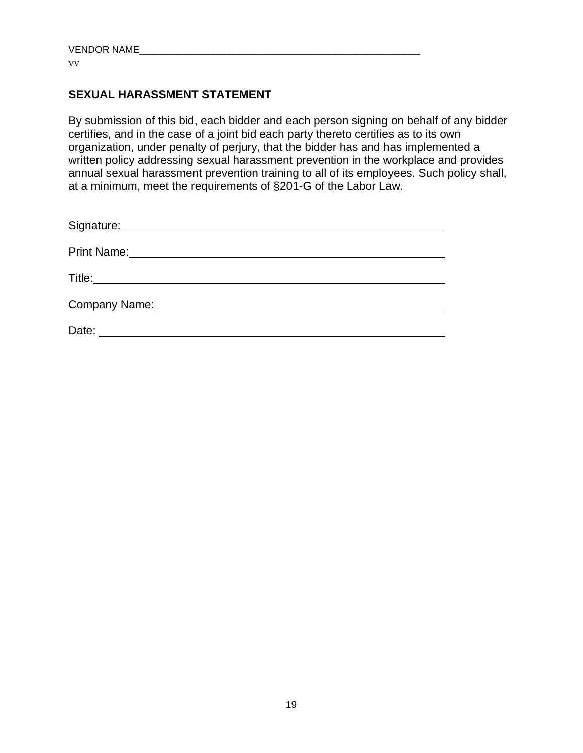#### **SEXUAL HARASSMENT STATEMENT**

By submission of this bid, each bidder and each person signing on behalf of any bidder certifies, and in the case of a joint bid each party thereto certifies as to its own organization, under penalty of perjury, that the bidder has and has implemented a written policy addressing sexual harassment prevention in the workplace and provides annual sexual harassment prevention training to all of its employees. Such policy shall, at a minimum, meet the requirements of §201-G of the Labor Law.

| Signature: Management Signature:                                                                                                                                                                                                    |
|-------------------------------------------------------------------------------------------------------------------------------------------------------------------------------------------------------------------------------------|
| <b>Print Name:</b>                                                                                                                                                                                                                  |
| <b>Title:</b> The contract of the contract of the contract of the contract of the contract of the contract of the contract of the contract of the contract of the contract of the contract of the contract of the contract of the c |
| Company Name:                                                                                                                                                                                                                       |
| Date:                                                                                                                                                                                                                               |